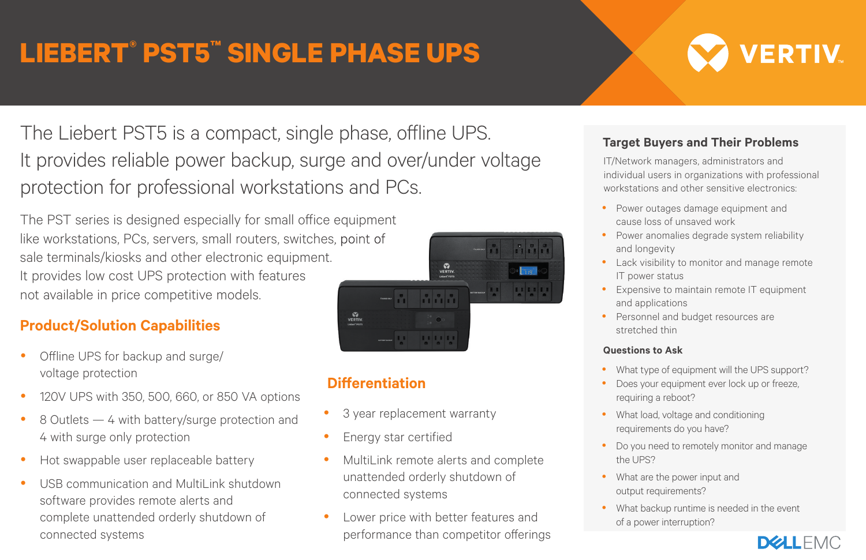# **LIEBERT® PST5™ SINGLE PHASE UPS**

# **VERTIV**

The Liebert PST5 is a compact, single phase, offline UPS. It provides reliable power backup, surge and over/under voltage protection for professional workstations and PCs.

The PST series is designed especially for small office equipment like workstations, PCs, servers, small routers, switches, point of sale terminals/kiosks and other electronic equipment. It provides low cost UPS protection with features not available in price competitive models.

### **Product/Solution Capabilities**

- Offline UPS for backup and surge/ voltage protection
- 120V UPS with 350, 500, 660, or 850 VA options
- 8 Outlets 4 with battery/surge protection and 4 with surge only protection
- Hot swappable user replaceable battery
- USB communication and MultiLink shutdown software provides remote alerts and complete unattended orderly shutdown of connected systems



## **Differentiation**

- 3 year replacement warranty
- Energy star certified
- MultiLink remote alerts and complete unattended orderly shutdown of connected systems
- Lower price with better features and performance than competitor offerings

#### **Target Buyers and Their Problems**

IT/Network managers, administrators and individual users in organizations with professional workstations and other sensitive electronics:

- Power outages damage equipment and cause loss of unsaved work
- Power anomalies degrade system reliability and longevity
- Lack visibility to monitor and manage remote IT power status
- **•** Expensive to maintain remote IT equipment and applications
- Personnel and budget resources are stretched thin

#### **Questions to Ask**

- What type of equipment will the UPS support?
- Does your equipment ever lock up or freeze, requiring a reboot?
- What load, voltage and conditioning requirements do you have?
- Do you need to remotely monitor and manage the UPS?
- What are the power input and output requirements?
- What backup runtime is needed in the event of a power interruption?